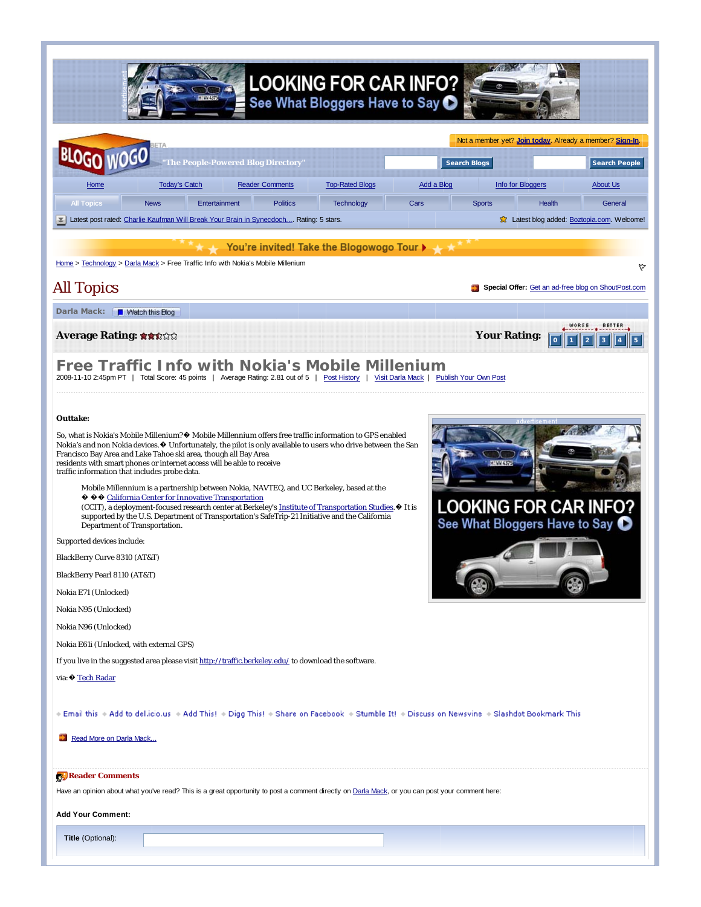